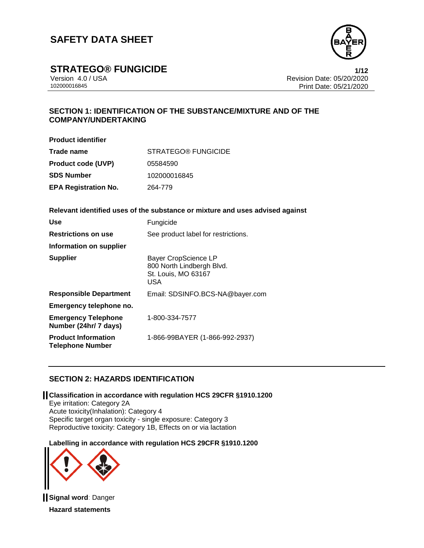

**STRATEGO® FUNGICIDE**<br>Version 4.0 / USA **1/12**<br>Revision Date: 05/20/2020

Version 4.0 / USA Revision Date: 05/20/2020 Print Date: 05/21/2020

## **SECTION 1: IDENTIFICATION OF THE SUBSTANCE/MIXTURE AND OF THE COMPANY/UNDERTAKING**

**Product identifier**

| Trade name                  | STRATEGO® FUNGICIDE |  |  |  |
|-----------------------------|---------------------|--|--|--|
| <b>Product code (UVP)</b>   | 05584590            |  |  |  |
| <b>SDS Number</b>           | 102000016845        |  |  |  |
| <b>EPA Registration No.</b> | 264-779             |  |  |  |

**Relevant identified uses of the substance or mixture and uses advised against**

| Use                                                   | Fungicide                                                                                     |
|-------------------------------------------------------|-----------------------------------------------------------------------------------------------|
| <b>Restrictions on use</b>                            | See product label for restrictions.                                                           |
| Information on supplier                               |                                                                                               |
| <b>Supplier</b>                                       | <b>Bayer CropScience LP</b><br>800 North Lindbergh Blvd.<br>St. Louis, MO 63167<br><b>USA</b> |
| <b>Responsible Department</b>                         | Email: SDSINFO.BCS-NA@bayer.com                                                               |
| Emergency telephone no.                               |                                                                                               |
| <b>Emergency Telephone</b><br>Number (24hr/ 7 days)   | 1-800-334-7577                                                                                |
| <b>Product Information</b><br><b>Telephone Number</b> | 1-866-99BAYER (1-866-992-2937)                                                                |

## **SECTION 2: HAZARDS IDENTIFICATION**

**Classification in accordance with regulation HCS 29CFR §1910.1200**

Eye irritation: Category 2A Acute toxicity(Inhalation): Category 4 Specific target organ toxicity - single exposure: Category 3 Reproductive toxicity: Category 1B, Effects on or via lactation

**Labelling in accordance with regulation HCS 29CFR §1910.1200**



**Signal word**: Danger **Hazard statements**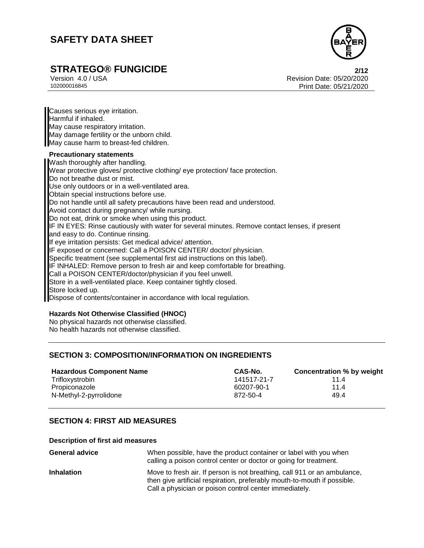

# **STRATEGO® FUNGICIDE 2/12**

Version 4.0 / USA Revision Date: 05/20/2020<br>102000016845 Print Date: 05/20/2020 Print Date: 05/21/2020

Causes serious eye irritation. Harmful if inhaled. May cause respiratory irritation. May damage fertility or the unborn child. May cause harm to breast-fed children. **Precautionary statements**

Wash thoroughly after handling. Wear protective gloves/ protective clothing/ eye protection/ face protection. Do not breathe dust or mist. Use only outdoors or in a well-ventilated area. Obtain special instructions before use. Do not handle until all safety precautions have been read and understood. Avoid contact during pregnancy/ while nursing. Do not eat, drink or smoke when using this product. IF IN EYES: Rinse cautiously with water for several minutes. Remove contact lenses, if present and easy to do. Continue rinsing. If eye irritation persists: Get medical advice/ attention. IF exposed or concerned: Call a POISON CENTER/ doctor/ physician. Specific treatment (see supplemental first aid instructions on this label). IF INHALED: Remove person to fresh air and keep comfortable for breathing. Call a POISON CENTER/doctor/physician if you feel unwell. Store in a well-ventilated place. Keep container tightly closed. Store locked up. Dispose of contents/container in accordance with local regulation.

#### **Hazards Not Otherwise Classified (HNOC)**

No physical hazards not otherwise classified. No health hazards not otherwise classified.

### **SECTION 3: COMPOSITION/INFORMATION ON INGREDIENTS**

| <b>Hazardous Component Name</b> | CAS-No.     | Concentration % by weight |
|---------------------------------|-------------|---------------------------|
| Trifloxystrobin                 | 141517-21-7 | 114                       |
| Propiconazole                   | 60207-90-1  | 11.4                      |
| N-Methyl-2-pyrrolidone          | 872-50-4    | 49.4                      |

### **SECTION 4: FIRST AID MEASURES**

#### **Description of first aid measures**

| <b>General advice</b> | When possible, have the product container or label with you when<br>calling a poison control center or doctor or going for treatment.                                                                          |
|-----------------------|----------------------------------------------------------------------------------------------------------------------------------------------------------------------------------------------------------------|
| <b>Inhalation</b>     | Move to fresh air. If person is not breathing, call 911 or an ambulance,<br>then give artificial respiration, preferably mouth-to-mouth if possible.<br>Call a physician or poison control center immediately. |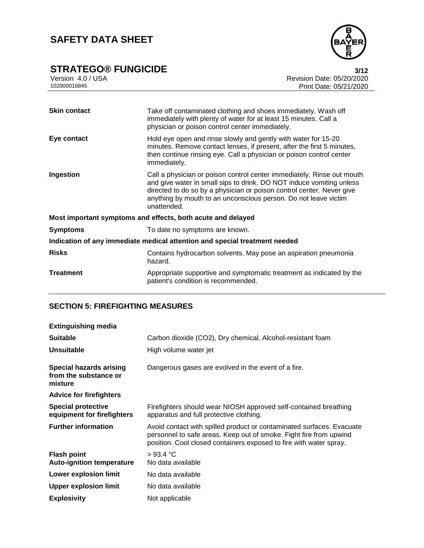# **STRATEGO® FUNGICIDE**<br>Version 4.0 / USA **12**<br>Revision Date: 05/20/2020



Version 4.0 / USA Revision Date: 05/20/2020<br>102000016845<br>Print Date: 05/21/2020 Print Date: 05/21/2020

| <b>Skin contact</b>                                                        | Take off contaminated clothing and shoes immediately. Wash off<br>immediately with plenty of water for at least 15 minutes. Call a<br>physician or poison control center immediately.                                                                                                                     |  |
|----------------------------------------------------------------------------|-----------------------------------------------------------------------------------------------------------------------------------------------------------------------------------------------------------------------------------------------------------------------------------------------------------|--|
| Eye contact                                                                | Hold eye open and rinse slowly and gently with water for 15-20<br>minutes. Remove contact lenses, if present, after the first 5 minutes,<br>then continue rinsing eye. Call a physician or poison control center<br>immediately.                                                                          |  |
| Ingestion                                                                  | Call a physician or poison control center immediately. Rinse out mouth<br>and give water in small sips to drink. DO NOT induce vomiting unless<br>directed to do so by a physician or poison control center. Never give<br>anything by mouth to an unconscious person. Do not leave victim<br>unattended. |  |
|                                                                            | Most important symptoms and effects, both acute and delayed                                                                                                                                                                                                                                               |  |
| <b>Symptoms</b>                                                            | To date no symptoms are known.                                                                                                                                                                                                                                                                            |  |
| Indication of any immediate medical attention and special treatment needed |                                                                                                                                                                                                                                                                                                           |  |
| <b>Risks</b>                                                               | Contains hydrocarbon solvents. May pose an aspiration pneumonia<br>hazard.                                                                                                                                                                                                                                |  |
| Treatment                                                                  | Appropriate supportive and symptomatic treatment as indicated by the<br>patient's condition is recommended.                                                                                                                                                                                               |  |

### **SECTION 5: FIREFIGHTING MEASURES**

| <b>Extinguishing media</b>                                         |                                                                                                                                                                                                                   |
|--------------------------------------------------------------------|-------------------------------------------------------------------------------------------------------------------------------------------------------------------------------------------------------------------|
| <b>Suitable</b>                                                    | Carbon dioxide (CO2), Dry chemical, Alcohol-resistant foam                                                                                                                                                        |
| <b>Unsuitable</b>                                                  | High volume water jet                                                                                                                                                                                             |
| <b>Special hazards arising</b><br>from the substance or<br>mixture | Dangerous gases are evolved in the event of a fire.                                                                                                                                                               |
| <b>Advice for firefighters</b>                                     |                                                                                                                                                                                                                   |
| <b>Special protective</b><br>equipment for firefighters            | Firefighters should wear NIOSH approved self-contained breathing<br>apparatus and full protective clothing.                                                                                                       |
| <b>Further information</b>                                         | Avoid contact with spilled product or contaminated surfaces. Evacuate<br>personnel to safe areas. Keep out of smoke. Fight fire from upwind<br>position. Cool closed containers exposed to fire with water spray. |
| <b>Flash point</b><br><b>Auto-ignition temperature</b>             | >93.4 °C<br>No data available                                                                                                                                                                                     |
| Lower explosion limit                                              | No data available                                                                                                                                                                                                 |
| <b>Upper explosion limit</b>                                       | No data available                                                                                                                                                                                                 |
| <b>Explosivity</b>                                                 | Not applicable                                                                                                                                                                                                    |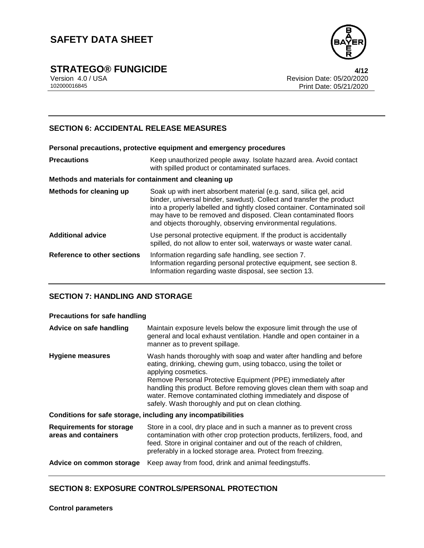

**STRATEGO® FUNGICIDE**<br>Version 4.0 / USA **1/12**<br>Revision Date: 05/20/2020

Version 4.0 / USA Revision Date: 05/20/2020 Print Date: 05/21/2020

## **SECTION 6: ACCIDENTAL RELEASE MEASURES**

|   | Personal precautions, protective equipment and emergency procedures                       |
|---|-------------------------------------------------------------------------------------------|
| . | المتعامل المستسمينا المفساسيات المتنازعين والمتواصل والمتناسب والقارية والمستند والمستحيل |

| <b>Precautions</b> | Keep unauthorized people away. Isolate hazard area. Avoid contact |
|--------------------|-------------------------------------------------------------------|
|                    | with spilled product or contaminated surfaces.                    |

#### **Methods and materials for containment and cleaning up**

| Methods for cleaning up            | Soak up with inert absorbent material (e.g. sand, silica gel, acid<br>binder, universal binder, sawdust). Collect and transfer the product<br>into a properly labelled and tightly closed container. Contaminated soil<br>may have to be removed and disposed. Clean contaminated floors<br>and objects thoroughly, observing environmental regulations. |
|------------------------------------|----------------------------------------------------------------------------------------------------------------------------------------------------------------------------------------------------------------------------------------------------------------------------------------------------------------------------------------------------------|
| <b>Additional advice</b>           | Use personal protective equipment. If the product is accidentally<br>spilled, do not allow to enter soil, waterways or waste water canal.                                                                                                                                                                                                                |
| <b>Reference to other sections</b> | Information regarding safe handling, see section 7.<br>Information regarding personal protective equipment, see section 8.<br>Information regarding waste disposal, see section 13.                                                                                                                                                                      |

#### **SECTION 7: HANDLING AND STORAGE**

#### **Precautions for safe handling**

| Advice on safe handling                                 | Maintain exposure levels below the exposure limit through the use of<br>general and local exhaust ventilation. Handle and open container in a<br>manner as to prevent spillage.                                                                                                                                                                                                                                                   |  |  |
|---------------------------------------------------------|-----------------------------------------------------------------------------------------------------------------------------------------------------------------------------------------------------------------------------------------------------------------------------------------------------------------------------------------------------------------------------------------------------------------------------------|--|--|
| <b>Hygiene measures</b>                                 | Wash hands thoroughly with soap and water after handling and before<br>eating, drinking, chewing gum, using tobacco, using the toilet or<br>applying cosmetics.<br>Remove Personal Protective Equipment (PPE) immediately after<br>handling this product. Before removing gloves clean them with soap and<br>water. Remove contaminated clothing immediately and dispose of<br>safely. Wash thoroughly and put on clean clothing. |  |  |
|                                                         | Conditions for safe storage, including any incompatibilities                                                                                                                                                                                                                                                                                                                                                                      |  |  |
| <b>Requirements for storage</b><br>areas and containers | Store in a cool, dry place and in such a manner as to prevent cross<br>contamination with other crop protection products, fertilizers, food, and<br>feed. Store in original container and out of the reach of children,<br>preferably in a locked storage area. Protect from freezing.                                                                                                                                            |  |  |
| Advice on common storage                                | Keep away from food, drink and animal feedingstuffs.                                                                                                                                                                                                                                                                                                                                                                              |  |  |

#### **SECTION 8: EXPOSURE CONTROLS/PERSONAL PROTECTION**

**Control parameters**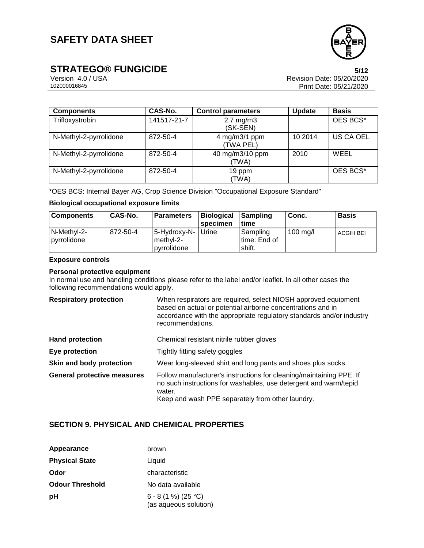

# **STRATEGO® FUNGICIDE**<br>Version 4.0 / USA **108**<br>Revision Date: 05/20/2020

Version 4.0 / USA Revision Date: 05/20/2020 Print Date: 05/21/2020

| <b>Components</b>      | CAS-No.     | <b>Control parameters</b>        | <b>Update</b> | <b>Basis</b> |
|------------------------|-------------|----------------------------------|---------------|--------------|
| Trifloxystrobin        | 141517-21-7 | $2.7 \text{ mg/m}$ 3<br>(SK-SEN) |               | OES BCS*     |
| N-Methyl-2-pyrrolidone | 872-50-4    | 4 mg/m3/1 ppm<br>(TWA PEL)       | 10 2014       | US CA OEL    |
| N-Methyl-2-pyrrolidone | 872-50-4    | 40 mg/m3/10 ppm<br>(TWA)         | 2010          | WEEL         |
| N-Methyl-2-pyrrolidone | 872-50-4    | 19 ppm<br>(TWA)                  |               | OES BCS*     |

\*OES BCS: Internal Bayer AG, Crop Science Division "Occupational Exposure Standard"

#### **Biological occupational exposure limits**

| <b>Components</b>          | <b>CAS-No.</b> | l Parameters                                     | <b>Biological</b><br>specimen | l Sampling<br>time                   | l Conc.            | <b>Basis</b>     |
|----------------------------|----------------|--------------------------------------------------|-------------------------------|--------------------------------------|--------------------|------------------|
| N-Methyl-2-<br>pyrrolidone | 872-50-4       | 5-Hydroxy-N-   Urine<br>methyl-2-<br>pvrrolidone |                               | Sampling<br>l time: End of<br>shift. | $100 \text{ ma/l}$ | <b>ACGIH BEI</b> |

#### **Exposure controls**

#### **Personal protective equipment**

In normal use and handling conditions please refer to the label and/or leaflet. In all other cases the following recommendations would apply.

| <b>Respiratory protection</b>      | When respirators are required, select NIOSH approved equipment<br>based on actual or potential airborne concentrations and in<br>accordance with the appropriate regulatory standards and/or industry<br>recommendations. |
|------------------------------------|---------------------------------------------------------------------------------------------------------------------------------------------------------------------------------------------------------------------------|
| <b>Hand protection</b>             | Chemical resistant nitrile rubber gloves                                                                                                                                                                                  |
| Eye protection                     | Tightly fitting safety goggles                                                                                                                                                                                            |
| Skin and body protection           | Wear long-sleeved shirt and long pants and shoes plus socks.                                                                                                                                                              |
| <b>General protective measures</b> | Follow manufacturer's instructions for cleaning/maintaining PPE. If<br>no such instructions for washables, use detergent and warm/tepid<br>water.<br>Keep and wash PPF separately from other laundry                      |

Keep and wash PPE separately from other laundry.

## **SECTION 9. PHYSICAL AND CHEMICAL PROPERTIES**

| Appearance             | brown                                        |
|------------------------|----------------------------------------------|
| <b>Physical State</b>  | Liquid                                       |
| Odor                   | characteristic                               |
| <b>Odour Threshold</b> | No data available                            |
| рH                     | 6 - 8 (1 %) (25 °C)<br>(as aqueous solution) |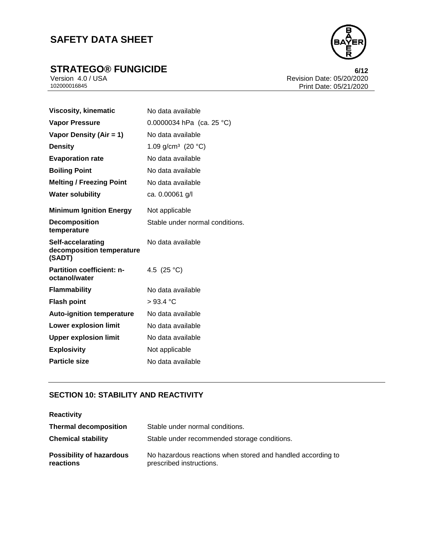# **STRATEGO® FUNGICIDE**<br>
Version 4.0 / USA **6/12**<br>
Revision Date: 05/20/2020



Version 4.0 / USA Revision Date: 05/20/2020<br>102000016845<br>Print Date: 05/21/2020 Print Date: 05/21/2020

| <b>Viscosity, kinematic</b>                              | No data available               |  |
|----------------------------------------------------------|---------------------------------|--|
| <b>Vapor Pressure</b>                                    | 0.0000034 hPa (ca. 25 °C)       |  |
| Vapor Density (Air = 1)                                  | No data available               |  |
| <b>Density</b>                                           | 1.09 g/cm <sup>3</sup> (20 °C)  |  |
| <b>Evaporation rate</b>                                  | No data available               |  |
| <b>Boiling Point</b>                                     | No data available               |  |
| <b>Melting / Freezing Point</b>                          | No data available               |  |
| <b>Water solubility</b>                                  | ca. 0.00061 g/l                 |  |
| <b>Minimum Ignition Energy</b>                           | Not applicable                  |  |
| <b>Decomposition</b><br>temperature                      | Stable under normal conditions. |  |
| Self-accelarating<br>decomposition temperature<br>(SADT) | No data available               |  |
| <b>Partition coefficient: n-</b><br>octanol/water        | 4.5 $(25 °C)$                   |  |
| <b>Flammability</b>                                      | No data available               |  |
| <b>Flash point</b>                                       | >93.4 °C                        |  |
| <b>Auto-ignition temperature</b>                         | No data available               |  |
| <b>Lower explosion limit</b>                             | No data available               |  |
| <b>Upper explosion limit</b>                             | No data available               |  |
| <b>Explosivity</b>                                       | Not applicable                  |  |
|                                                          |                                 |  |

## **SECTION 10: STABILITY AND REACTIVITY**

| <b>Reactivity</b>                            |                                                                                         |  |
|----------------------------------------------|-----------------------------------------------------------------------------------------|--|
| <b>Thermal decomposition</b>                 | Stable under normal conditions.                                                         |  |
| <b>Chemical stability</b>                    | Stable under recommended storage conditions.                                            |  |
| <b>Possibility of hazardous</b><br>reactions | No hazardous reactions when stored and handled according to<br>prescribed instructions. |  |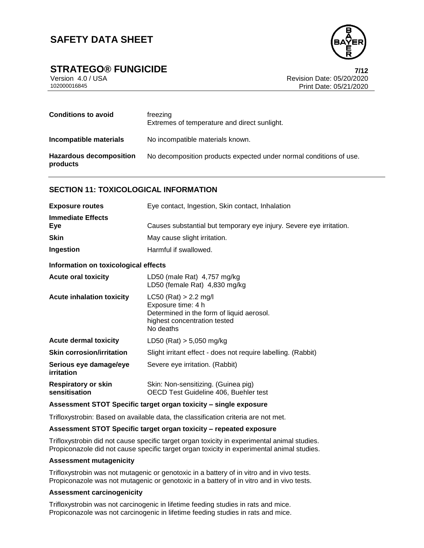

## **STRATEGO® FUNGICIDE 7/12**

Version 4.0 / USA Revision Date: 05/20/2020 Print Date: 05/21/2020

| <b>Conditions to avoid</b>                 | freezing<br>Extremes of temperature and direct sunlight.           |
|--------------------------------------------|--------------------------------------------------------------------|
| Incompatible materials                     | No incompatible materials known.                                   |
| <b>Hazardous decomposition</b><br>products | No decomposition products expected under normal conditions of use. |

#### **SECTION 11: TOXICOLOGICAL INFORMATION**

| <b>Exposure routes</b>                      | Eye contact, Ingestion, Skin contact, Inhalation                                                                                        |  |
|---------------------------------------------|-----------------------------------------------------------------------------------------------------------------------------------------|--|
| <b>Immediate Effects</b><br>Eye             | Causes substantial but temporary eye injury. Severe eye irritation.                                                                     |  |
| <b>Skin</b>                                 | May cause slight irritation.                                                                                                            |  |
| Ingestion                                   | Harmful if swallowed.                                                                                                                   |  |
| Information on toxicological effects        |                                                                                                                                         |  |
| <b>Acute oral toxicity</b>                  | LD50 (male Rat) 4,757 mg/kg<br>LD50 (female Rat) 4,830 mg/kg                                                                            |  |
| <b>Acute inhalation toxicity</b>            | $LC50$ (Rat) > 2.2 mg/l<br>Exposure time: 4 h<br>Determined in the form of liquid aerosol.<br>highest concentration tested<br>No deaths |  |
| <b>Acute dermal toxicity</b>                | LD50 (Rat) $> 5,050$ mg/kg                                                                                                              |  |
| <b>Skin corrosion/irritation</b>            | Slight irritant effect - does not require labelling. (Rabbit)                                                                           |  |
| Serious eye damage/eye<br><i>irritation</i> | Severe eye irritation. (Rabbit)                                                                                                         |  |
| <b>Respiratory or skin</b><br>sensitisation | Skin: Non-sensitizing. (Guinea pig)<br>OECD Test Guideline 406, Buehler test                                                            |  |

#### **Assessment STOT Specific target organ toxicity – single exposure**

Trifloxystrobin: Based on available data, the classification criteria are not met.

#### **Assessment STOT Specific target organ toxicity – repeated exposure**

Trifloxystrobin did not cause specific target organ toxicity in experimental animal studies. Propiconazole did not cause specific target organ toxicity in experimental animal studies.

#### **Assessment mutagenicity**

Trifloxystrobin was not mutagenic or genotoxic in a battery of in vitro and in vivo tests. Propiconazole was not mutagenic or genotoxic in a battery of in vitro and in vivo tests.

#### **Assessment carcinogenicity**

Trifloxystrobin was not carcinogenic in lifetime feeding studies in rats and mice. Propiconazole was not carcinogenic in lifetime feeding studies in rats and mice.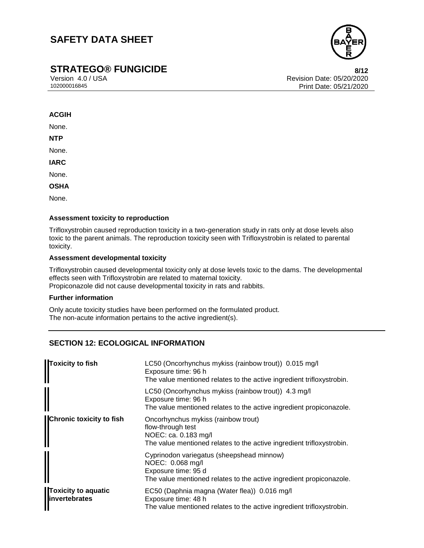## **STRATEGO® FUNGICIDE 8/12**

Version 4.0 / USA Revision Date: 05/20/2020 Print Date: 05/21/2020

#### **ACGIH**

None.

**NTP**

None.

**IARC**

None.

**OSHA**

None.

#### **Assessment toxicity to reproduction**

Trifloxystrobin caused reproduction toxicity in a two-generation study in rats only at dose levels also toxic to the parent animals. The reproduction toxicity seen with Trifloxystrobin is related to parental toxicity.

#### **Assessment developmental toxicity**

Trifloxystrobin caused developmental toxicity only at dose levels toxic to the dams. The developmental effects seen with Trifloxystrobin are related to maternal toxicity. Propiconazole did not cause developmental toxicity in rats and rabbits.

#### **Further information**

Only acute toxicity studies have been performed on the formulated product. The non-acute information pertains to the active ingredient(s).

## **SECTION 12: ECOLOGICAL INFORMATION**

| Toxicity to fish                                    | LC50 (Oncorhynchus mykiss (rainbow trout)) 0.015 mg/l<br>Exposure time: 96 h<br>The value mentioned relates to the active ingredient trifloxystrobin.       |
|-----------------------------------------------------|-------------------------------------------------------------------------------------------------------------------------------------------------------------|
|                                                     | LC50 (Oncorhynchus mykiss (rainbow trout)) 4.3 mg/l<br>Exposure time: 96 h<br>The value mentioned relates to the active ingredient propiconazole.           |
| <b>Chronic toxicity to fish</b>                     | Oncorhynchus mykiss (rainbow trout)<br>flow-through test<br>NOEC: ca. 0.183 mg/l<br>The value mentioned relates to the active ingredient trifloxystrobin.   |
|                                                     | Cyprinodon variegatus (sheepshead minnow)<br>NOEC: 0.068 mg/l<br>Exposure time: 95 d<br>The value mentioned relates to the active ingredient propiconazole. |
| <b>Toxicity to aquatic</b><br><b>linvertebrates</b> | EC50 (Daphnia magna (Water flea)) 0.016 mg/l<br>Exposure time: 48 h<br>The value mentioned relates to the active ingredient trifloxystrobin.                |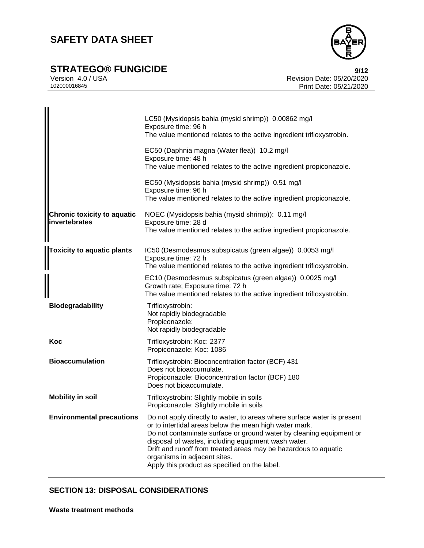

# **STRATEGO® FUNGICIDE**<br>
Version 4.0 / USA<br> **Prevision Date: 05/20/2020**

Version 4.0 / USA Revision Date: 05/20/2020<br>102000016845 Print Date: 05/21/2020 Print Date: 05/21/2020

|                                                     | LC50 (Mysidopsis bahia (mysid shrimp)) 0.00862 mg/l<br>Exposure time: 96 h<br>The value mentioned relates to the active ingredient trifloxystrobin.                                                                                                                                                                                                                                                                 |
|-----------------------------------------------------|---------------------------------------------------------------------------------------------------------------------------------------------------------------------------------------------------------------------------------------------------------------------------------------------------------------------------------------------------------------------------------------------------------------------|
|                                                     | EC50 (Daphnia magna (Water flea)) 10.2 mg/l<br>Exposure time: 48 h<br>The value mentioned relates to the active ingredient propiconazole.                                                                                                                                                                                                                                                                           |
|                                                     | EC50 (Mysidopsis bahia (mysid shrimp)) 0.51 mg/l<br>Exposure time: 96 h<br>The value mentioned relates to the active ingredient propiconazole.                                                                                                                                                                                                                                                                      |
| <b>Chronic toxicity to aquatic</b><br>invertebrates | NOEC (Mysidopsis bahia (mysid shrimp)): 0.11 mg/l<br>Exposure time: 28 d<br>The value mentioned relates to the active ingredient propiconazole.                                                                                                                                                                                                                                                                     |
| <b>Toxicity to aquatic plants</b>                   | IC50 (Desmodesmus subspicatus (green algae)) 0.0053 mg/l<br>Exposure time: 72 h<br>The value mentioned relates to the active ingredient trifloxystrobin.                                                                                                                                                                                                                                                            |
|                                                     | EC10 (Desmodesmus subspicatus (green algae)) 0.0025 mg/l<br>Growth rate; Exposure time: 72 h<br>The value mentioned relates to the active ingredient trifloxystrobin.                                                                                                                                                                                                                                               |
| <b>Biodegradability</b>                             | Trifloxystrobin:<br>Not rapidly biodegradable<br>Propiconazole:<br>Not rapidly biodegradable                                                                                                                                                                                                                                                                                                                        |
| Koc                                                 | Trifloxystrobin: Koc: 2377<br>Propiconazole: Koc: 1086                                                                                                                                                                                                                                                                                                                                                              |
| <b>Bioaccumulation</b>                              | Trifloxystrobin: Bioconcentration factor (BCF) 431<br>Does not bioaccumulate.<br>Propiconazole: Bioconcentration factor (BCF) 180<br>Does not bioaccumulate.                                                                                                                                                                                                                                                        |
| <b>Mobility in soil</b>                             | Trifloxystrobin: Slightly mobile in soils<br>Propiconazole: Slightly mobile in soils                                                                                                                                                                                                                                                                                                                                |
| <b>Environmental precautions</b>                    | Do not apply directly to water, to areas where surface water is present<br>or to intertidal areas below the mean high water mark.<br>Do not contaminate surface or ground water by cleaning equipment or<br>disposal of wastes, including equipment wash water.<br>Drift and runoff from treated areas may be hazardous to aquatic<br>organisms in adjacent sites.<br>Apply this product as specified on the label. |

## **SECTION 13: DISPOSAL CONSIDERATIONS**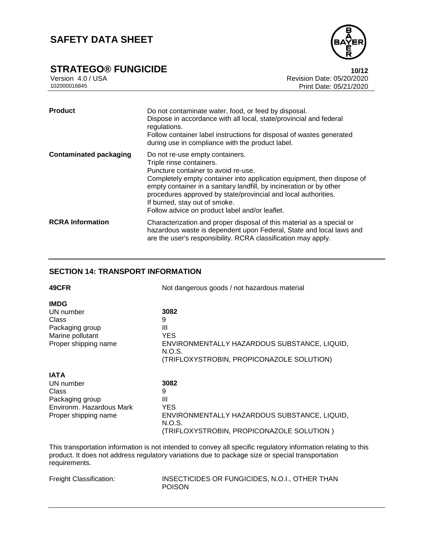

# **STRATEGO® FUNGICIDE**<br>
Version 4.0 / USA **10/12**<br>
Revision Date: 05/20/2020

Version 4.0 / USA Revision Date: 05/20/2020<br>102000016845<br>Print Date: 05/21/2020 Print Date: 05/21/2020

| <b>Product</b>                | Do not contaminate water, food, or feed by disposal.<br>Dispose in accordance with all local, state/provincial and federal<br>regulations.<br>Follow container label instructions for disposal of wastes generated<br>during use in compliance with the product label.                                                                                                                                   |
|-------------------------------|----------------------------------------------------------------------------------------------------------------------------------------------------------------------------------------------------------------------------------------------------------------------------------------------------------------------------------------------------------------------------------------------------------|
| <b>Contaminated packaging</b> | Do not re-use empty containers.<br>Triple rinse containers.<br>Puncture container to avoid re-use.<br>Completely empty container into application equipment, then dispose of<br>empty container in a sanitary landfill, by incineration or by other<br>procedures approved by state/provincial and local authorities.<br>If burned, stay out of smoke.<br>Follow advice on product label and/or leaflet. |
| <b>RCRA</b> Information       | Characterization and proper disposal of this material as a special or<br>hazardous waste is dependent upon Federal, State and local laws and<br>are the user's responsibility. RCRA classification may apply.                                                                                                                                                                                            |

## **SECTION 14: TRANSPORT INFORMATION**

| 49CFR                    | Not dangerous goods / not hazardous material           |
|--------------------------|--------------------------------------------------------|
| <b>IMDG</b>              |                                                        |
| UN number                | 3082                                                   |
| Class                    | 9                                                      |
| Packaging group          | Ш                                                      |
| Marine pollutant         | <b>YES</b>                                             |
| Proper shipping name     | ENVIRONMENTALLY HAZARDOUS SUBSTANCE, LIQUID,<br>N.O.S. |
|                          | (TRIFLOXYSTROBIN, PROPICONAZOLE SOLUTION)              |
| <b>IATA</b>              |                                                        |
| UN number                | 3082                                                   |
| Class                    | 9                                                      |
| Packaging group          | Ш                                                      |
| Environm, Hazardous Mark | <b>YES</b>                                             |
| Proper shipping name     | ENVIRONMENTALLY HAZARDOUS SUBSTANCE, LIQUID,<br>N.O.S. |
|                          | (TRIFLOXYSTROBIN, PROPICONAZOLE SOLUTION)              |
|                          |                                                        |

This transportation information is not intended to convey all specific regulatory information relating to this product. It does not address regulatory variations due to package size or special transportation requirements.

| Freight Classification: | INSECTICIDES OR FUNGICIDES, N.O.I., OTHER THAN |
|-------------------------|------------------------------------------------|
|                         | <b>POISON</b>                                  |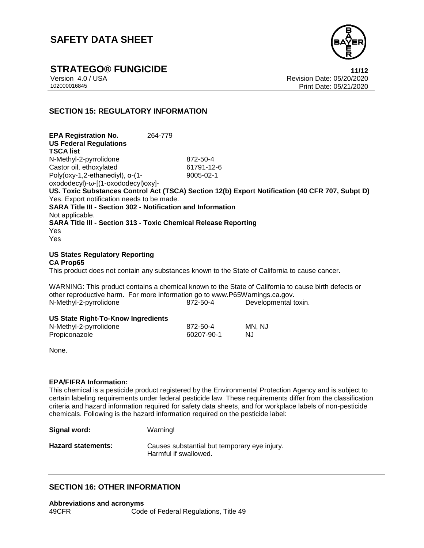

**STRATEGO® FUNGICIDE 11/12**

Version 4.0 / USA Revision Date: 05/20/2020<br>102000016845<br>Print Date: 05/21/2020 Print Date: 05/21/2020

### **SECTION 15: REGULATORY INFORMATION**

**EPA Registration No.** 264-779 **US Federal Regulations TSCA list** N-Methyl-2-pyrrolidone 872-50-4 Castor oil, ethoxylated 61791-12-6 Poly(oxy-1,2-ethanediyl), α-(1 oxododecyl)-ω-[(1-oxododecyl)oxy]- 9005-02-1 **US. Toxic Substances Control Act (TSCA) Section 12(b) Export Notification (40 CFR 707, Subpt D)** Yes. Export notification needs to be made. **SARA Title III - Section 302 - Notification and Information** Not applicable. **SARA Title III - Section 313 - Toxic Chemical Release Reporting** Yes Yes

**US States Regulatory Reporting CA Prop65**

This product does not contain any substances known to the State of California to cause cancer.

WARNING: This product contains a chemical known to the State of California to cause birth defects or other reproductive harm. For more information go to www.P65Warnings.ca.gov. N-Methyl-2-pyrrolidone 872-50-4 Developmental toxin.

#### **US State Right-To-Know Ingredients**

| N-Methyl-2-pyrrolidone | 872-50-4   | MN, NJ |
|------------------------|------------|--------|
| Propiconazole          | 60207-90-1 | NJ     |

None.

#### **EPA/FIFRA Information:**

This chemical is a pesticide product registered by the Environmental Protection Agency and is subject to certain labeling requirements under federal pesticide law. These requirements differ from the classification criteria and hazard information required for safety data sheets, and for workplace labels of non-pesticide chemicals. Following is the hazard information required on the pesticide label:

| Signal word:              | Warning!                                                              |
|---------------------------|-----------------------------------------------------------------------|
| <b>Hazard statements:</b> | Causes substantial but temporary eye injury.<br>Harmful if swallowed. |

#### **SECTION 16: OTHER INFORMATION**